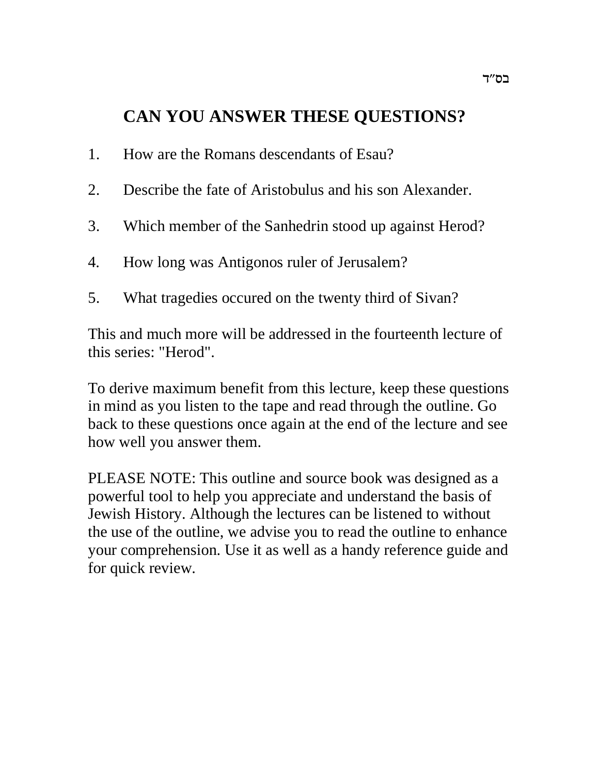## **CAN YOU ANSWER THESE QUESTIONS?**

- 1. How are the Romans descendants of Esau?
- 2. Describe the fate of Aristobulus and his son Alexander.
- 3. Which member of the Sanhedrin stood up against Herod?
- 4. How long was Antigonos ruler of Jerusalem?
- 5. What tragedies occured on the twenty third of Sivan?

This and much more will be addressed in the fourteenth lecture of this series: "Herod".

To derive maximum benefit from this lecture, keep these questions in mind as you listen to the tape and read through the outline. Go back to these questions once again at the end of the lecture and see how well you answer them.

PLEASE NOTE: This outline and source book was designed as a powerful tool to help you appreciate and understand the basis of Jewish History. Although the lectures can be listened to without the use of the outline, we advise you to read the outline to enhance your comprehension. Use it as well as a handy reference guide and for quick review.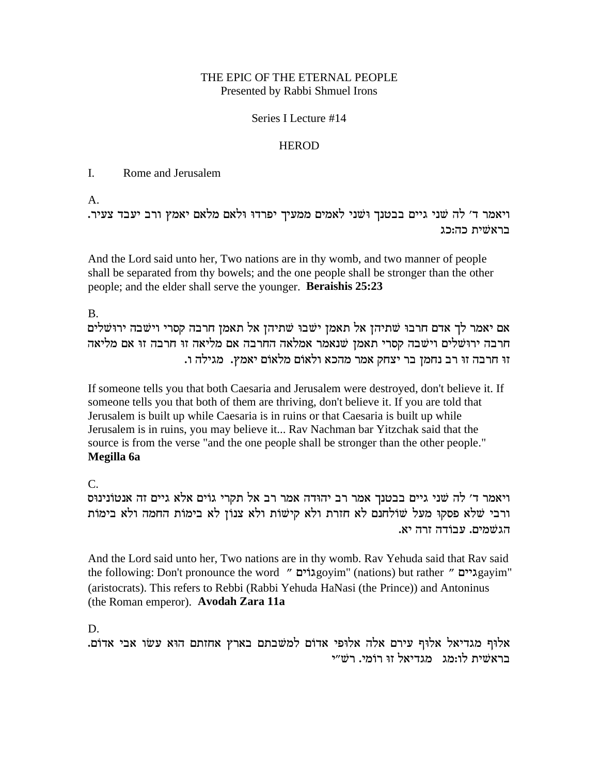## THE EPIC OF THE ETERNAL PEOPLE Presented by Rabbi Shmuel Irons

## Series I Lecture #14

## **HEROD**

#### I. Rome and Jerusalem

 $A<sub>1</sub>$ 

. ויאמר ד׳ לה שני גיים בבטנד וּשׁני לאמים ממעיד יפרדוּ וּלאם מלאם יאמץ ורב יעבד צעיר בראשׁית כה:כג

And the Lord said unto her, Two nations are in thy womb, and two manner of people shall be separated from thy bowels; and the one people shall be stronger than the other people; and the elder shall serve the younger. **Beraishis 25:23**

B.

אם יאמר לך אדם חרבו שתיהן אל תאמן ישבו שתיהן אל תאמן חרבה קסרי וישבה ירושלים חרבה ירוּשׁלים וישׁבה קסרי תאמן שנאמר אמלאה החרבה אם מליאה הרבה זו אם מליאה זו חרבה זו רב נחמן בר יצחק אמר מהכא ולאום מלאום יאמץ. מגילה ו.

If someone tells you that both Caesaria and Jerusalem were destroyed, don't believe it. If someone tells you that both of them are thriving, don't believe it. If you are told that Jerusalem is built up while Caesaria is in ruins or that Caesaria is built up while Jerusalem is in ruins, you may believe it... Rav Nachman bar Yitzchak said that the source is from the verse "and the one people shall be stronger than the other people." **Megilla 6a**

 $C_{\cdot}$ 

ויאמר ד' לה שני גיים בבטנך אמר רב יהודה אמר רב אל תקרי גוֹים אלא גיים זה אנטוֹנינוּס ורבי שלא פסקו מעל שולחנם לא חזרת ולא קישות ולא צנון לא בימות החמה ולא בימות הגשמים. עבודה זרה יא.

And the Lord said unto her, Two nations are in thy womb. Rav Yehuda said that Rav said the following: Don't pronounce the word " מוֹצְסָמוֹים" (nations) but rather " מְצוּמַצְגיים (aristocrats). This refers to Rebbi (Rabbi Yehuda HaNasi (the Prince)) and Antoninus (the Roman emperor). **Avodah Zara 11a**

D.

.אלוף מגדיאל אלוף עירם אלה אלופי אדום למשבתם בארץ אחזתם הוא עשו אבי אדום בראשית לו:מג מגדיאל זו רומי. רש״י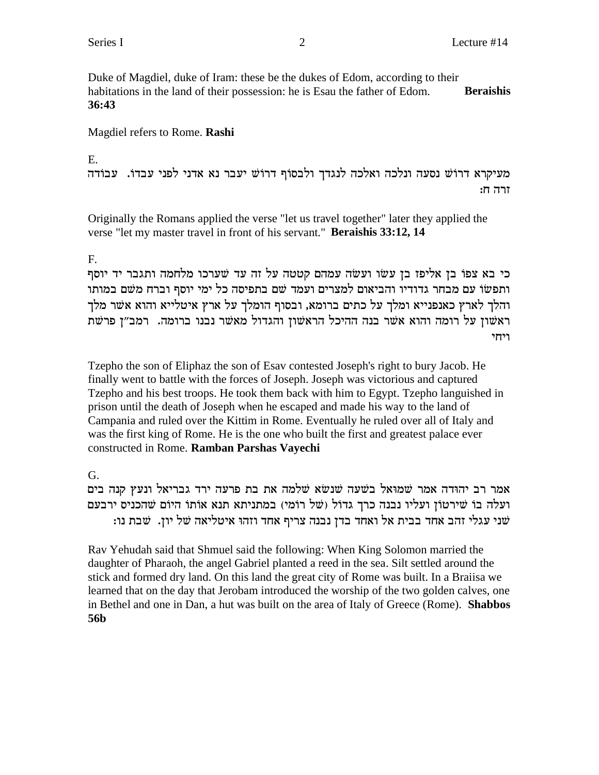Duke of Magdiel, duke of Iram: these be the dukes of Edom, according to their habitations in the land of their possession: he is Esau the father of Edom. **Beraishis 36:43**

Magdiel refers to Rome. **Rashi**

E.

מעיקרא דרוֹשׁ נסעה ונלכה ואלכה לנגדך ולבסוף דרוֹשׁ יעבר נא אדני לפני עבדו. עבודה  $:$ זרה ח

Originally the Romans applied the verse "let us travel together" later they applied the verse "let my master travel in front of his servant." **Beraishis 33:12, 14**

## F.

כי בא צפו בן אליפז בן עשו ועשה עמהם קטטה על זה עד שערכו מלחמה ותגבר יד יוסף ותפשׂוֹ עם מבחר גדודיו והביאום למצרים ועמד שם בתפיסה כל ימי יוסף וברח משם במותו והלך לארץ כאנפנייא ומלך על כתים ברומא, ובסוף הומלך על ארץ איטלייא והוא אשר מלך ראשון על רומה והוא אשר בנה ההיכל הראשון והגדול מאשר נבנו ברומה. <sup>ב</sup>מב"ן פרשת ויחי

Tzepho the son of Eliphaz the son of Esav contested Joseph's right to bury Jacob. He finally went to battle with the forces of Joseph. Joseph was victorious and captured Tzepho and his best troops. He took them back with him to Egypt. Tzepho languished in prison until the death of Joseph when he escaped and made his way to the land of Campania and ruled over the Kittim in Rome. Eventually he ruled over all of Italy and was the first king of Rome. He is the one who built the first and greatest palace ever constructed in Rome. **Ramban Parshas Vayechi**

G.

אמר רב יהודה אמר שמוּאל בשׁעה שנשׂא שלמה את בת פרעה ירד גבריאל ונעץ קנה בים ועלה בוֹ שירטוֹן ועליו נבנה כרך גדוֹל (של רוֹמי) במתניתא תנא אוֹתוֹ היוֹם שהכניס ירבעם :<br>שני עגלי זהב אחד בבית אל ואחד בדן נבנה צריף אחד וזהו איטליאה של יון. שבת נו:

Rav Yehudah said that Shmuel said the following: When King Solomon married the daughter of Pharaoh, the angel Gabriel planted a reed in the sea. Silt settled around the stick and formed dry land. On this land the great city of Rome was built. In a Braiisa we learned that on the day that Jerobam introduced the worship of the two golden calves, one in Bethel and one in Dan, a hut was built on the area of Italy of Greece (Rome). **Shabbos 56b**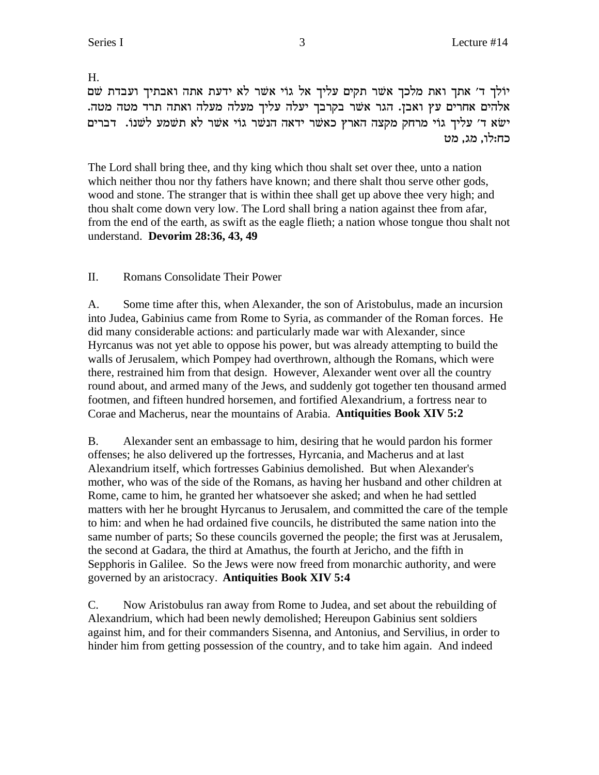H.

יולך ד' אתך ואת מלכך אשר תקים עליך אל גוי אשר לא ידעת אתה ואבתיך ועבדת שם . אלהים אחרים עץ ואבן. הגר אשר בקרבך יעלה עליך מעלה מעלה ואתה תרד מטה מטה ישא ד' עליך גוי מרחק מקצה הארץ כאשר ידאה הנשר גוי אשר לא תשמע לשנו. דברים ,כח:לו, מג. מט

The Lord shall bring thee, and thy king which thou shalt set over thee, unto a nation which neither thou nor thy fathers have known; and there shalt thou serve other gods, wood and stone. The stranger that is within thee shall get up above thee very high; and thou shalt come down very low. The Lord shall bring a nation against thee from afar, from the end of the earth, as swift as the eagle flieth; a nation whose tongue thou shalt not understand. **Devorim 28:36, 43, 49**

II. Romans Consolidate Their Power

A. Some time after this, when Alexander, the son of Aristobulus, made an incursion into Judea, Gabinius came from Rome to Syria, as commander of the Roman forces. He did many considerable actions: and particularly made war with Alexander, since Hyrcanus was not yet able to oppose his power, but was already attempting to build the walls of Jerusalem, which Pompey had overthrown, although the Romans, which were there, restrained him from that design. However, Alexander went over all the country round about, and armed many of the Jews, and suddenly got together ten thousand armed footmen, and fifteen hundred horsemen, and fortified Alexandrium, a fortress near to Corae and Macherus, near the mountains of Arabia. **Antiquities Book XIV 5:2**

B. Alexander sent an embassage to him, desiring that he would pardon his former offenses; he also delivered up the fortresses, Hyrcania, and Macherus and at last Alexandrium itself, which fortresses Gabinius demolished. But when Alexander's mother, who was of the side of the Romans, as having her husband and other children at Rome, came to him, he granted her whatsoever she asked; and when he had settled matters with her he brought Hyrcanus to Jerusalem, and committed the care of the temple to him: and when he had ordained five councils, he distributed the same nation into the same number of parts; So these councils governed the people; the first was at Jerusalem, the second at Gadara, the third at Amathus, the fourth at Jericho, and the fifth in Sepphoris in Galilee. So the Jews were now freed from monarchic authority, and were governed by an aristocracy. **Antiquities Book XIV 5:4**

C. Now Aristobulus ran away from Rome to Judea, and set about the rebuilding of Alexandrium, which had been newly demolished; Hereupon Gabinius sent soldiers against him, and for their commanders Sisenna, and Antonius, and Servilius, in order to hinder him from getting possession of the country, and to take him again. And indeed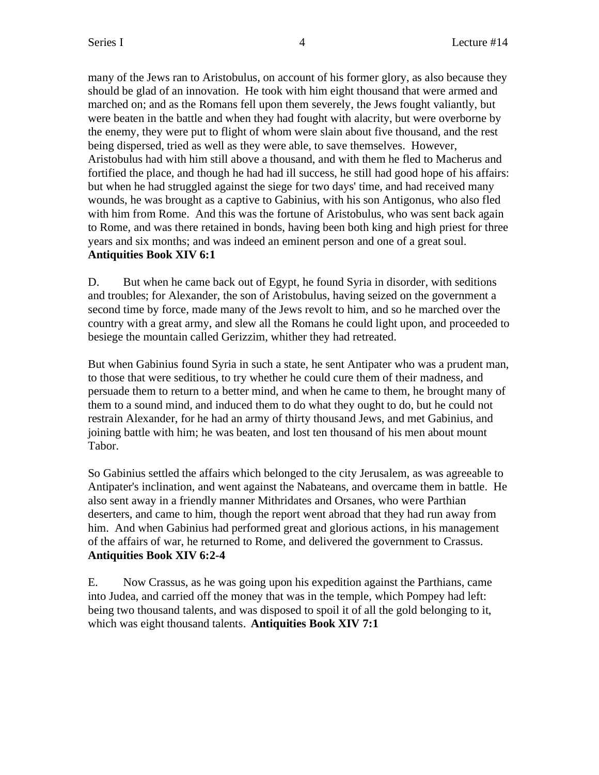many of the Jews ran to Aristobulus, on account of his former glory, as also because they should be glad of an innovation. He took with him eight thousand that were armed and marched on; and as the Romans fell upon them severely, the Jews fought valiantly, but were beaten in the battle and when they had fought with alacrity, but were overborne by the enemy, they were put to flight of whom were slain about five thousand, and the rest being dispersed, tried as well as they were able, to save themselves. However, Aristobulus had with him still above a thousand, and with them he fled to Macherus and fortified the place, and though he had had ill success, he still had good hope of his affairs: but when he had struggled against the siege for two days' time, and had received many wounds, he was brought as a captive to Gabinius, with his son Antigonus, who also fled with him from Rome. And this was the fortune of Aristobulus, who was sent back again to Rome, and was there retained in bonds, having been both king and high priest for three years and six months; and was indeed an eminent person and one of a great soul. **Antiquities Book XIV 6:1**

D. But when he came back out of Egypt, he found Syria in disorder, with seditions and troubles; for Alexander, the son of Aristobulus, having seized on the government a second time by force, made many of the Jews revolt to him, and so he marched over the country with a great army, and slew all the Romans he could light upon, and proceeded to besiege the mountain called Gerizzim, whither they had retreated.

But when Gabinius found Syria in such a state, he sent Antipater who was a prudent man, to those that were seditious, to try whether he could cure them of their madness, and persuade them to return to a better mind, and when he came to them, he brought many of them to a sound mind, and induced them to do what they ought to do, but he could not restrain Alexander, for he had an army of thirty thousand Jews, and met Gabinius, and joining battle with him; he was beaten, and lost ten thousand of his men about mount Tabor.

So Gabinius settled the affairs which belonged to the city Jerusalem, as was agreeable to Antipater's inclination, and went against the Nabateans, and overcame them in battle. He also sent away in a friendly manner Mithridates and Orsanes, who were Parthian deserters, and came to him, though the report went abroad that they had run away from him. And when Gabinius had performed great and glorious actions, in his management of the affairs of war, he returned to Rome, and delivered the government to Crassus. **Antiquities Book XIV 6:2-4**

E. Now Crassus, as he was going upon his expedition against the Parthians, came into Judea, and carried off the money that was in the temple, which Pompey had left: being two thousand talents, and was disposed to spoil it of all the gold belonging to it, which was eight thousand talents. **Antiquities Book XIV 7:1**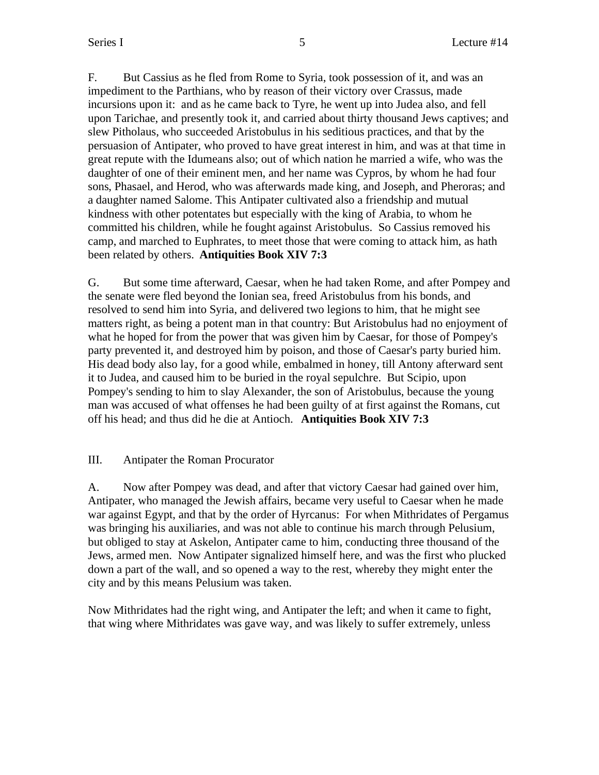F. But Cassius as he fled from Rome to Syria, took possession of it, and was an impediment to the Parthians, who by reason of their victory over Crassus, made incursions upon it: and as he came back to Tyre, he went up into Judea also, and fell upon Tarichae, and presently took it, and carried about thirty thousand Jews captives; and slew Pitholaus, who succeeded Aristobulus in his seditious practices, and that by the persuasion of Antipater, who proved to have great interest in him, and was at that time in great repute with the Idumeans also; out of which nation he married a wife, who was the daughter of one of their eminent men, and her name was Cypros, by whom he had four sons, Phasael, and Herod, who was afterwards made king, and Joseph, and Pheroras; and a daughter named Salome. This Antipater cultivated also a friendship and mutual kindness with other potentates but especially with the king of Arabia, to whom he committed his children, while he fought against Aristobulus. So Cassius removed his camp, and marched to Euphrates, to meet those that were coming to attack him, as hath been related by others. **Antiquities Book XIV 7:3**

G. But some time afterward, Caesar, when he had taken Rome, and after Pompey and the senate were fled beyond the Ionian sea, freed Aristobulus from his bonds, and resolved to send him into Syria, and delivered two legions to him, that he might see matters right, as being a potent man in that country: But Aristobulus had no enjoyment of what he hoped for from the power that was given him by Caesar, for those of Pompey's party prevented it, and destroyed him by poison, and those of Caesar's party buried him. His dead body also lay, for a good while, embalmed in honey, till Antony afterward sent it to Judea, and caused him to be buried in the royal sepulchre. But Scipio, upon Pompey's sending to him to slay Alexander, the son of Aristobulus, because the young man was accused of what offenses he had been guilty of at first against the Romans, cut off his head; and thus did he die at Antioch. **Antiquities Book XIV 7:3**

## III. Antipater the Roman Procurator

A. Now after Pompey was dead, and after that victory Caesar had gained over him, Antipater, who managed the Jewish affairs, became very useful to Caesar when he made war against Egypt, and that by the order of Hyrcanus: For when Mithridates of Pergamus was bringing his auxiliaries, and was not able to continue his march through Pelusium, but obliged to stay at Askelon, Antipater came to him, conducting three thousand of the Jews, armed men. Now Antipater signalized himself here, and was the first who plucked down a part of the wall, and so opened a way to the rest, whereby they might enter the city and by this means Pelusium was taken.

Now Mithridates had the right wing, and Antipater the left; and when it came to fight, that wing where Mithridates was gave way, and was likely to suffer extremely, unless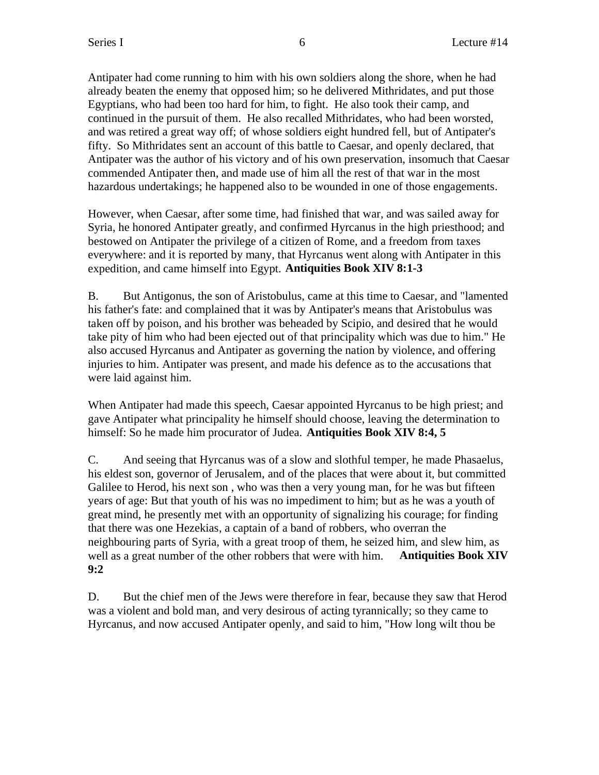Antipater had come running to him with his own soldiers along the shore, when he had already beaten the enemy that opposed him; so he delivered Mithridates, and put those Egyptians, who had been too hard for him, to fight. He also took their camp, and continued in the pursuit of them. He also recalled Mithridates, who had been worsted, and was retired a great way off; of whose soldiers eight hundred fell, but of Antipater's fifty. So Mithridates sent an account of this battle to Caesar, and openly declared, that Antipater was the author of his victory and of his own preservation, insomuch that Caesar commended Antipater then, and made use of him all the rest of that war in the most hazardous undertakings; he happened also to be wounded in one of those engagements.

However, when Caesar, after some time, had finished that war, and was sailed away for Syria, he honored Antipater greatly, and confirmed Hyrcanus in the high priesthood; and bestowed on Antipater the privilege of a citizen of Rome, and a freedom from taxes everywhere: and it is reported by many, that Hyrcanus went along with Antipater in this expedition, and came himself into Egypt. **Antiquities Book XIV 8:1-3**

B. But Antigonus, the son of Aristobulus, came at this time to Caesar, and "lamented his father's fate: and complained that it was by Antipater's means that Aristobulus was taken off by poison, and his brother was beheaded by Scipio, and desired that he would take pity of him who had been ejected out of that principality which was due to him." He also accused Hyrcanus and Antipater as governing the nation by violence, and offering injuries to him. Antipater was present, and made his defence as to the accusations that were laid against him.

When Antipater had made this speech, Caesar appointed Hyrcanus to be high priest; and gave Antipater what principality he himself should choose, leaving the determination to himself: So he made him procurator of Judea. **Antiquities Book XIV 8:4, 5**

C. And seeing that Hyrcanus was of a slow and slothful temper, he made Phasaelus, his eldest son, governor of Jerusalem, and of the places that were about it, but committed Galilee to Herod, his next son, who was then a very young man, for he was but fifteen years of age: But that youth of his was no impediment to him; but as he was a youth of great mind, he presently met with an opportunity of signalizing his courage; for finding that there was one Hezekias, a captain of a band of robbers, who overran the neighbouring parts of Syria, with a great troop of them, he seized him, and slew him, as well as a great number of the other robbers that were with him. **Antiquities Book XIV 9:2**

D. But the chief men of the Jews were therefore in fear, because they saw that Herod was a violent and bold man, and very desirous of acting tyrannically; so they came to Hyrcanus, and now accused Antipater openly, and said to him, "How long wilt thou be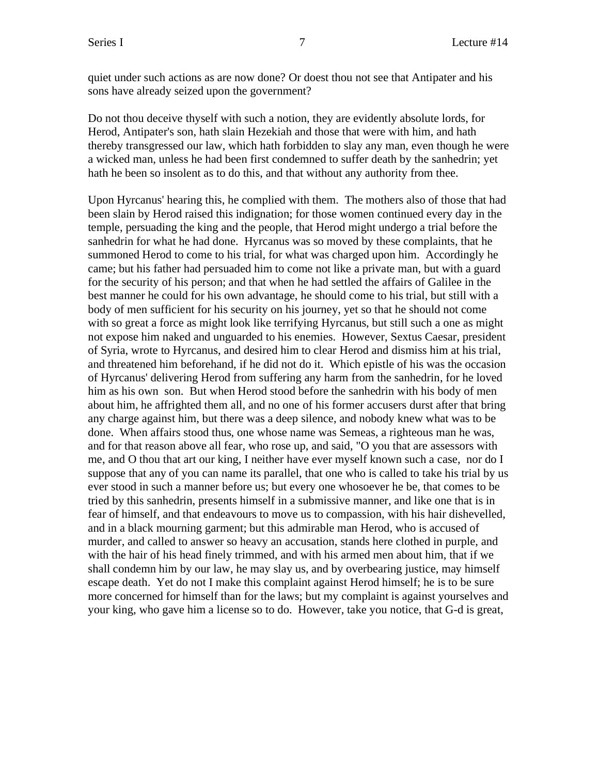quiet under such actions as are now done? Or doest thou not see that Antipater and his sons have already seized upon the government?

Do not thou deceive thyself with such a notion, they are evidently absolute lords, for Herod, Antipater's son, hath slain Hezekiah and those that were with him, and hath thereby transgressed our law, which hath forbidden to slay any man, even though he were a wicked man, unless he had been first condemned to suffer death by the sanhedrin; yet hath he been so insolent as to do this, and that without any authority from thee.

Upon Hyrcanus' hearing this, he complied with them. The mothers also of those that had been slain by Herod raised this indignation; for those women continued every day in the temple, persuading the king and the people, that Herod might undergo a trial before the sanhedrin for what he had done. Hyrcanus was so moved by these complaints, that he summoned Herod to come to his trial, for what was charged upon him. Accordingly he came; but his father had persuaded him to come not like a private man, but with a guard for the security of his person; and that when he had settled the affairs of Galilee in the best manner he could for his own advantage, he should come to his trial, but still with a body of men sufficient for his security on his journey, yet so that he should not come with so great a force as might look like terrifying Hyrcanus, but still such a one as might not expose him naked and unguarded to his enemies. However, Sextus Caesar, president of Syria, wrote to Hyrcanus, and desired him to clear Herod and dismiss him at his trial, and threatened him beforehand, if he did not do it. Which epistle of his was the occasion of Hyrcanus' delivering Herod from suffering any harm from the sanhedrin, for he loved him as his own son. But when Herod stood before the sanhedrin with his body of men about him, he affrighted them all, and no one of his former accusers durst after that bring any charge against him, but there was a deep silence, and nobody knew what was to be done. When affairs stood thus, one whose name was Semeas, a righteous man he was, and for that reason above all fear, who rose up, and said, "O you that are assessors with me, and O thou that art our king, I neither have ever myself known such a case, nor do I suppose that any of you can name its parallel, that one who is called to take his trial by us ever stood in such a manner before us; but every one whosoever he be, that comes to be tried by this sanhedrin, presents himself in a submissive manner, and like one that is in fear of himself, and that endeavours to move us to compassion, with his hair dishevelled, and in a black mourning garment; but this admirable man Herod, who is accused of murder, and called to answer so heavy an accusation, stands here clothed in purple, and with the hair of his head finely trimmed, and with his armed men about him, that if we shall condemn him by our law, he may slay us, and by overbearing justice, may himself escape death. Yet do not I make this complaint against Herod himself; he is to be sure more concerned for himself than for the laws; but my complaint is against yourselves and your king, who gave him a license so to do. However, take you notice, that G-d is great,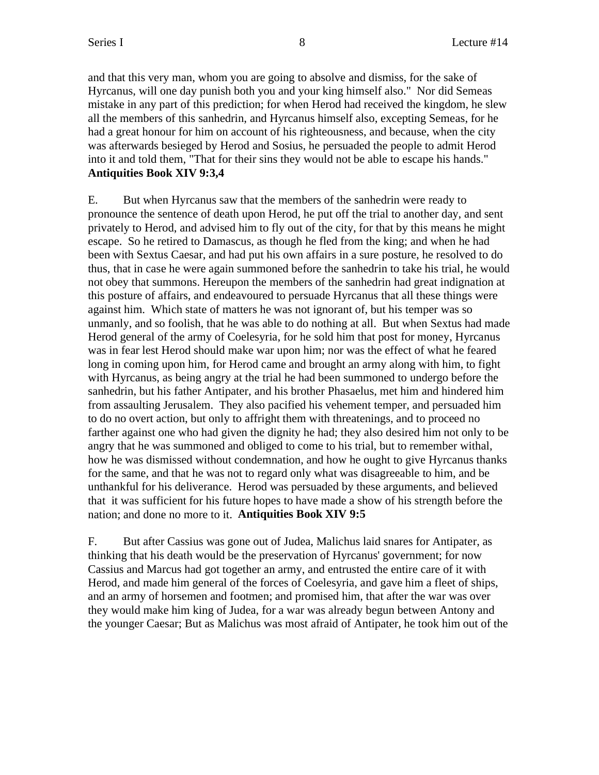and that this very man, whom you are going to absolve and dismiss, for the sake of Hyrcanus, will one day punish both you and your king himself also." Nor did Semeas mistake in any part of this prediction; for when Herod had received the kingdom, he slew all the members of this sanhedrin, and Hyrcanus himself also, excepting Semeas, for he had a great honour for him on account of his righteousness, and because, when the city was afterwards besieged by Herod and Sosius, he persuaded the people to admit Herod into it and told them, "That for their sins they would not be able to escape his hands." **Antiquities Book XIV 9:3,4**

E. But when Hyrcanus saw that the members of the sanhedrin were ready to pronounce the sentence of death upon Herod, he put off the trial to another day, and sent privately to Herod, and advised him to fly out of the city, for that by this means he might escape. So he retired to Damascus, as though he fled from the king; and when he had been with Sextus Caesar, and had put his own affairs in a sure posture, he resolved to do thus, that in case he were again summoned before the sanhedrin to take his trial, he would not obey that summons. Hereupon the members of the sanhedrin had great indignation at this posture of affairs, and endeavoured to persuade Hyrcanus that all these things were against him. Which state of matters he was not ignorant of, but his temper was so unmanly, and so foolish, that he was able to do nothing at all. But when Sextus had made Herod general of the army of Coelesyria, for he sold him that post for money, Hyrcanus was in fear lest Herod should make war upon him; nor was the effect of what he feared long in coming upon him, for Herod came and brought an army along with him, to fight with Hyrcanus, as being angry at the trial he had been summoned to undergo before the sanhedrin, but his father Antipater, and his brother Phasaelus, met him and hindered him from assaulting Jerusalem. They also pacified his vehement temper, and persuaded him to do no overt action, but only to affright them with threatenings, and to proceed no farther against one who had given the dignity he had; they also desired him not only to be angry that he was summoned and obliged to come to his trial, but to remember withal, how he was dismissed without condemnation, and how he ought to give Hyrcanus thanks for the same, and that he was not to regard only what was disagreeable to him, and be unthankful for his deliverance. Herod was persuaded by these arguments, and believed that it was sufficient for his future hopes to have made a show of his strength before the nation; and done no more to it. **Antiquities Book XIV 9:5**

F. But after Cassius was gone out of Judea, Malichus laid snares for Antipater, as thinking that his death would be the preservation of Hyrcanus' government; for now Cassius and Marcus had got together an army, and entrusted the entire care of it with Herod, and made him general of the forces of Coelesyria, and gave him a fleet of ships, and an army of horsemen and footmen; and promised him, that after the war was over they would make him king of Judea, for a war was already begun between Antony and the younger Caesar; But as Malichus was most afraid of Antipater, he took him out of the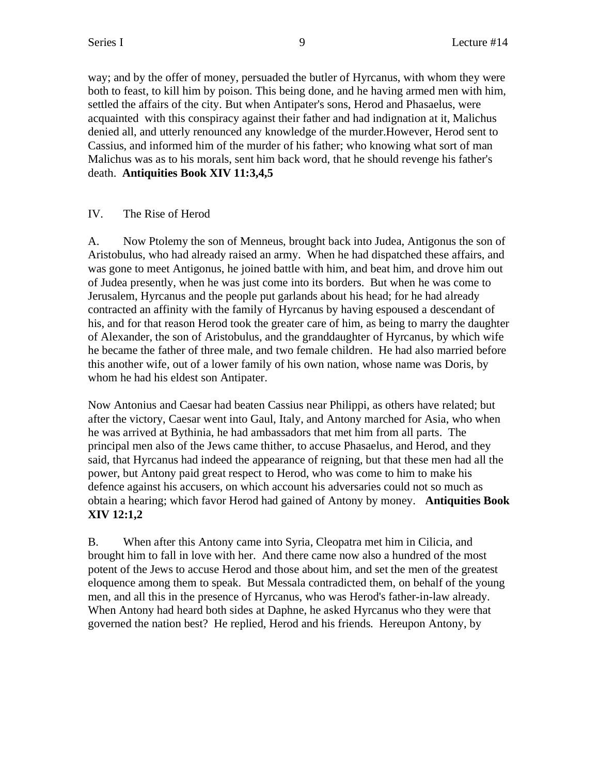way; and by the offer of money, persuaded the butler of Hyrcanus, with whom they were both to feast, to kill him by poison. This being done, and he having armed men with him, settled the affairs of the city. But when Antipater's sons, Herod and Phasaelus, were acquainted with this conspiracy against their father and had indignation at it, Malichus denied all, and utterly renounced any knowledge of the murder.However, Herod sent to Cassius, and informed him of the murder of his father; who knowing what sort of man Malichus was as to his morals, sent him back word, that he should revenge his father's death. **Antiquities Book XIV 11:3,4,5**

## IV. The Rise of Herod

A. Now Ptolemy the son of Menneus, brought back into Judea, Antigonus the son of Aristobulus, who had already raised an army. When he had dispatched these affairs, and was gone to meet Antigonus, he joined battle with him, and beat him, and drove him out of Judea presently, when he was just come into its borders. But when he was come to Jerusalem, Hyrcanus and the people put garlands about his head; for he had already contracted an affinity with the family of Hyrcanus by having espoused a descendant of his, and for that reason Herod took the greater care of him, as being to marry the daughter of Alexander, the son of Aristobulus, and the granddaughter of Hyrcanus, by which wife he became the father of three male, and two female children. He had also married before this another wife, out of a lower family of his own nation, whose name was Doris, by whom he had his eldest son Antipater.

Now Antonius and Caesar had beaten Cassius near Philippi, as others have related; but after the victory, Caesar went into Gaul, Italy, and Antony marched for Asia, who when he was arrived at Bythinia, he had ambassadors that met him from all parts. The principal men also of the Jews came thither, to accuse Phasaelus, and Herod, and they said, that Hyrcanus had indeed the appearance of reigning, but that these men had all the power, but Antony paid great respect to Herod, who was come to him to make his defence against his accusers, on which account his adversaries could not so much as obtain a hearing; which favor Herod had gained of Antony by money. **Antiquities Book XIV 12:1,2**

B. When after this Antony came into Syria, Cleopatra met him in Cilicia, and brought him to fall in love with her. And there came now also a hundred of the most potent of the Jews to accuse Herod and those about him, and set the men of the greatest eloquence among them to speak. But Messala contradicted them, on behalf of the young men, and all this in the presence of Hyrcanus, who was Herod's father-in-law already. When Antony had heard both sides at Daphne, he asked Hyrcanus who they were that governed the nation best? He replied, Herod and his friends. Hereupon Antony, by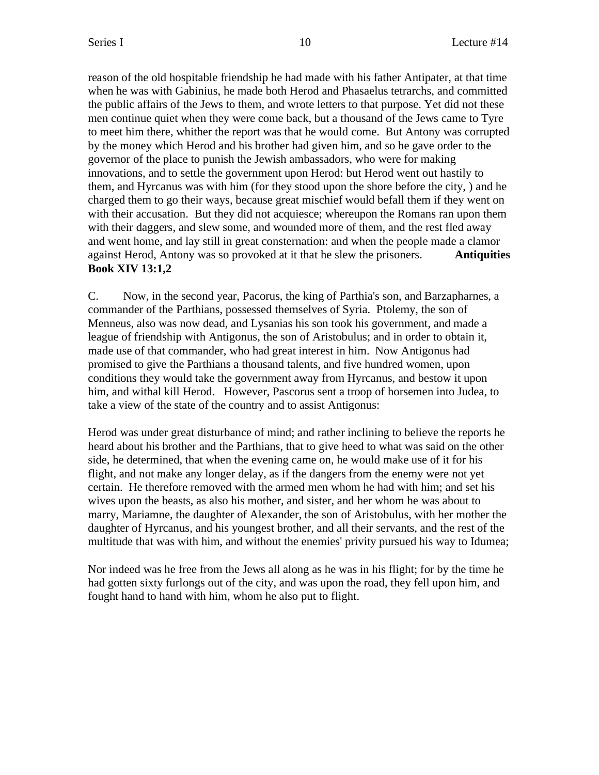reason of the old hospitable friendship he had made with his father Antipater, at that time when he was with Gabinius, he made both Herod and Phasaelus tetrarchs, and committed the public affairs of the Jews to them, and wrote letters to that purpose. Yet did not these men continue quiet when they were come back, but a thousand of the Jews came to Tyre to meet him there, whither the report was that he would come. But Antony was corrupted by the money which Herod and his brother had given him, and so he gave order to the governor of the place to punish the Jewish ambassadors, who were for making innovations, and to settle the government upon Herod: but Herod went out hastily to them, and Hyrcanus was with him (for they stood upon the shore before the city, ) and he charged them to go their ways, because great mischief would befall them if they went on with their accusation. But they did not acquiesce; whereupon the Romans ran upon them with their daggers, and slew some, and wounded more of them, and the rest fled away and went home, and lay still in great consternation: and when the people made a clamor against Herod, Antony was so provoked at it that he slew the prisoners. **Antiquities Book XIV 13:1,2**

C. Now, in the second year, Pacorus, the king of Parthia's son, and Barzapharnes, a commander of the Parthians, possessed themselves of Syria. Ptolemy, the son of Menneus, also was now dead, and Lysanias his son took his government, and made a league of friendship with Antigonus, the son of Aristobulus; and in order to obtain it, made use of that commander, who had great interest in him. Now Antigonus had promised to give the Parthians a thousand talents, and five hundred women, upon conditions they would take the government away from Hyrcanus, and bestow it upon him, and withal kill Herod. However, Pascorus sent a troop of horsemen into Judea, to take a view of the state of the country and to assist Antigonus:

Herod was under great disturbance of mind; and rather inclining to believe the reports he heard about his brother and the Parthians, that to give heed to what was said on the other side, he determined, that when the evening came on, he would make use of it for his flight, and not make any longer delay, as if the dangers from the enemy were not yet certain. He therefore removed with the armed men whom he had with him; and set his wives upon the beasts, as also his mother, and sister, and her whom he was about to marry, Mariamne, the daughter of Alexander, the son of Aristobulus, with her mother the daughter of Hyrcanus, and his youngest brother, and all their servants, and the rest of the multitude that was with him, and without the enemies' privity pursued his way to Idumea;

Nor indeed was he free from the Jews all along as he was in his flight; for by the time he had gotten sixty furlongs out of the city, and was upon the road, they fell upon him, and fought hand to hand with him, whom he also put to flight.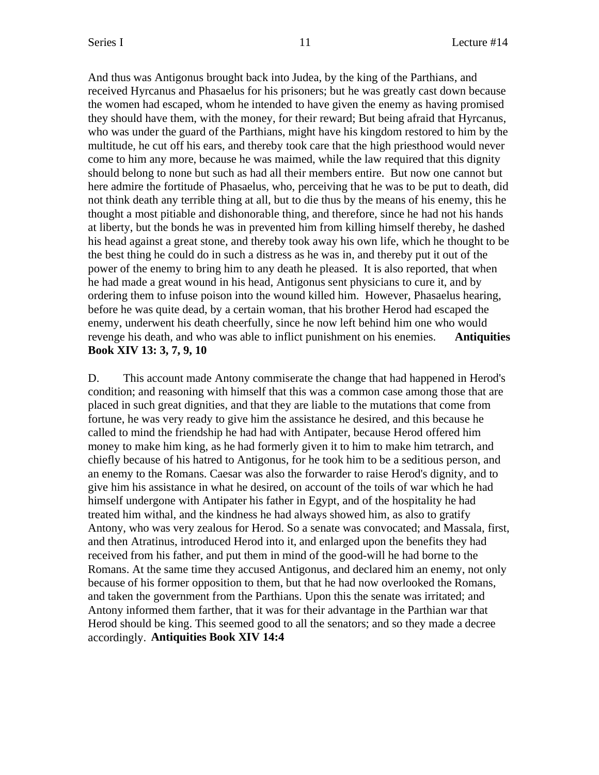And thus was Antigonus brought back into Judea, by the king of the Parthians, and received Hyrcanus and Phasaelus for his prisoners; but he was greatly cast down because the women had escaped, whom he intended to have given the enemy as having promised they should have them, with the money, for their reward; But being afraid that Hyrcanus, who was under the guard of the Parthians, might have his kingdom restored to him by the multitude, he cut off his ears, and thereby took care that the high priesthood would never come to him any more, because he was maimed, while the law required that this dignity should belong to none but such as had all their members entire. But now one cannot but here admire the fortitude of Phasaelus, who, perceiving that he was to be put to death, did not think death any terrible thing at all, but to die thus by the means of his enemy, this he thought a most pitiable and dishonorable thing, and therefore, since he had not his hands at liberty, but the bonds he was in prevented him from killing himself thereby, he dashed his head against a great stone, and thereby took away his own life, which he thought to be the best thing he could do in such a distress as he was in, and thereby put it out of the power of the enemy to bring him to any death he pleased. It is also reported, that when he had made a great wound in his head, Antigonus sent physicians to cure it, and by ordering them to infuse poison into the wound killed him. However, Phasaelus hearing, before he was quite dead, by a certain woman, that his brother Herod had escaped the enemy, underwent his death cheerfully, since he now left behind him one who would revenge his death, and who was able to inflict punishment on his enemies. **Antiquities Book XIV 13: 3, 7, 9, 10**

D. This account made Antony commiserate the change that had happened in Herod's condition; and reasoning with himself that this was a common case among those that are placed in such great dignities, and that they are liable to the mutations that come from fortune, he was very ready to give him the assistance he desired, and this because he called to mind the friendship he had had with Antipater, because Herod offered him money to make him king, as he had formerly given it to him to make him tetrarch, and chiefly because of his hatred to Antigonus, for he took him to be a seditious person, and an enemy to the Romans. Caesar was also the forwarder to raise Herod's dignity, and to give him his assistance in what he desired, on account of the toils of war which he had himself undergone with Antipater his father in Egypt, and of the hospitality he had treated him withal, and the kindness he had always showed him, as also to gratify Antony, who was very zealous for Herod. So a senate was convocated; and Massala, first, and then Atratinus, introduced Herod into it, and enlarged upon the benefits they had received from his father, and put them in mind of the good-will he had borne to the Romans. At the same time they accused Antigonus, and declared him an enemy, not only because of his former opposition to them, but that he had now overlooked the Romans, and taken the government from the Parthians. Upon this the senate was irritated; and Antony informed them farther, that it was for their advantage in the Parthian war that Herod should be king. This seemed good to all the senators; and so they made a decree accordingly. **Antiquities Book XIV 14:4**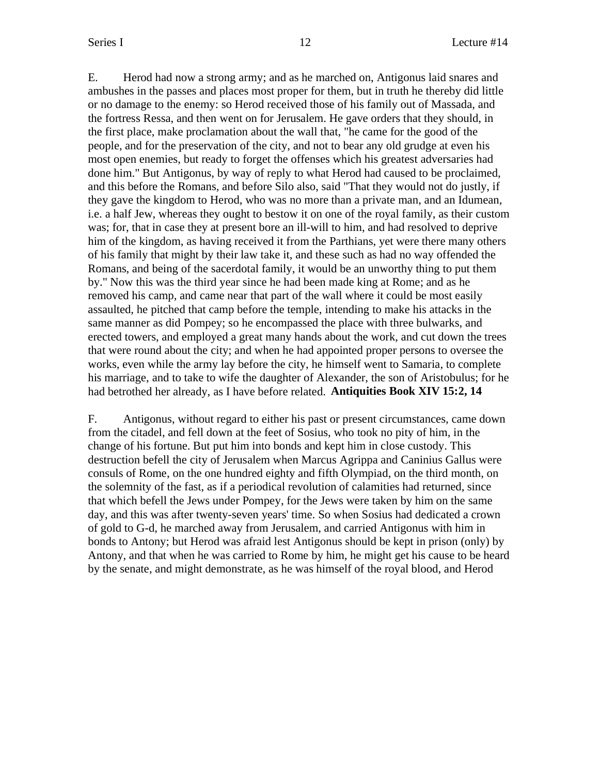E. Herod had now a strong army; and as he marched on, Antigonus laid snares and ambushes in the passes and places most proper for them, but in truth he thereby did little or no damage to the enemy: so Herod received those of his family out of Massada, and the fortress Ressa, and then went on for Jerusalem. He gave orders that they should, in the first place, make proclamation about the wall that, "he came for the good of the people, and for the preservation of the city, and not to bear any old grudge at even his most open enemies, but ready to forget the offenses which his greatest adversaries had done him." But Antigonus, by way of reply to what Herod had caused to be proclaimed, and this before the Romans, and before Silo also, said "That they would not do justly, if they gave the kingdom to Herod, who was no more than a private man, and an Idumean, i.e. a half Jew, whereas they ought to bestow it on one of the royal family, as their custom was; for, that in case they at present bore an ill-will to him, and had resolved to deprive him of the kingdom, as having received it from the Parthians, yet were there many others of his family that might by their law take it, and these such as had no way offended the Romans, and being of the sacerdotal family, it would be an unworthy thing to put them by." Now this was the third year since he had been made king at Rome; and as he removed his camp, and came near that part of the wall where it could be most easily assaulted, he pitched that camp before the temple, intending to make his attacks in the same manner as did Pompey; so he encompassed the place with three bulwarks, and erected towers, and employed a great many hands about the work, and cut down the trees that were round about the city; and when he had appointed proper persons to oversee the works, even while the army lay before the city, he himself went to Samaria, to complete his marriage, and to take to wife the daughter of Alexander, the son of Aristobulus; for he had betrothed her already, as I have before related. **Antiquities Book XIV 15:2, 14**

F. Antigonus, without regard to either his past or present circumstances, came down from the citadel, and fell down at the feet of Sosius, who took no pity of him, in the change of his fortune. But put him into bonds and kept him in close custody. This destruction befell the city of Jerusalem when Marcus Agrippa and Caninius Gallus were consuls of Rome, on the one hundred eighty and fifth Olympiad, on the third month, on the solemnity of the fast, as if a periodical revolution of calamities had returned, since that which befell the Jews under Pompey, for the Jews were taken by him on the same day, and this was after twenty-seven years' time. So when Sosius had dedicated a crown of gold to G-d, he marched away from Jerusalem, and carried Antigonus with him in bonds to Antony; but Herod was afraid lest Antigonus should be kept in prison (only) by Antony, and that when he was carried to Rome by him, he might get his cause to be heard by the senate, and might demonstrate, as he was himself of the royal blood, and Herod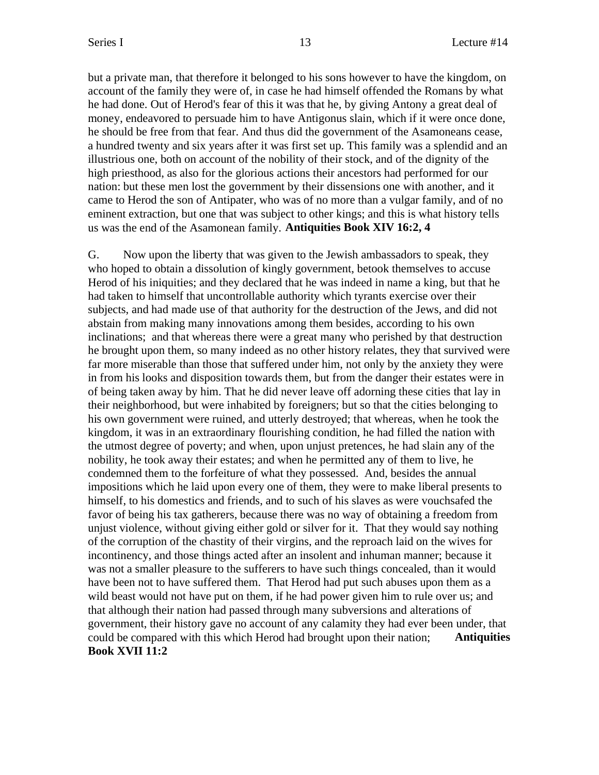but a private man, that therefore it belonged to his sons however to have the kingdom, on account of the family they were of, in case he had himself offended the Romans by what he had done. Out of Herod's fear of this it was that he, by giving Antony a great deal of money, endeavored to persuade him to have Antigonus slain, which if it were once done, he should be free from that fear. And thus did the government of the Asamoneans cease, a hundred twenty and six years after it was first set up. This family was a splendid and an illustrious one, both on account of the nobility of their stock, and of the dignity of the high priesthood, as also for the glorious actions their ancestors had performed for our nation: but these men lost the government by their dissensions one with another, and it came to Herod the son of Antipater, who was of no more than a vulgar family, and of no eminent extraction, but one that was subject to other kings; and this is what history tells us was the end of the Asamonean family. **Antiquities Book XIV 16:2, 4**

G. Now upon the liberty that was given to the Jewish ambassadors to speak, they who hoped to obtain a dissolution of kingly government, betook themselves to accuse Herod of his iniquities; and they declared that he was indeed in name a king, but that he had taken to himself that uncontrollable authority which tyrants exercise over their subjects, and had made use of that authority for the destruction of the Jews, and did not abstain from making many innovations among them besides, according to his own inclinations; and that whereas there were a great many who perished by that destruction he brought upon them, so many indeed as no other history relates, they that survived were far more miserable than those that suffered under him, not only by the anxiety they were in from his looks and disposition towards them, but from the danger their estates were in of being taken away by him. That he did never leave off adorning these cities that lay in their neighborhood, but were inhabited by foreigners; but so that the cities belonging to his own government were ruined, and utterly destroyed; that whereas, when he took the kingdom, it was in an extraordinary flourishing condition, he had filled the nation with the utmost degree of poverty; and when, upon unjust pretences, he had slain any of the nobility, he took away their estates; and when he permitted any of them to live, he condemned them to the forfeiture of what they possessed. And, besides the annual impositions which he laid upon every one of them, they were to make liberal presents to himself, to his domestics and friends, and to such of his slaves as were vouchsafed the favor of being his tax gatherers, because there was no way of obtaining a freedom from unjust violence, without giving either gold or silver for it. That they would say nothing of the corruption of the chastity of their virgins, and the reproach laid on the wives for incontinency, and those things acted after an insolent and inhuman manner; because it was not a smaller pleasure to the sufferers to have such things concealed, than it would have been not to have suffered them. That Herod had put such abuses upon them as a wild beast would not have put on them, if he had power given him to rule over us; and that although their nation had passed through many subversions and alterations of government, their history gave no account of any calamity they had ever been under, that could be compared with this which Herod had brought upon their nation; **Antiquities Book XVII 11:2**